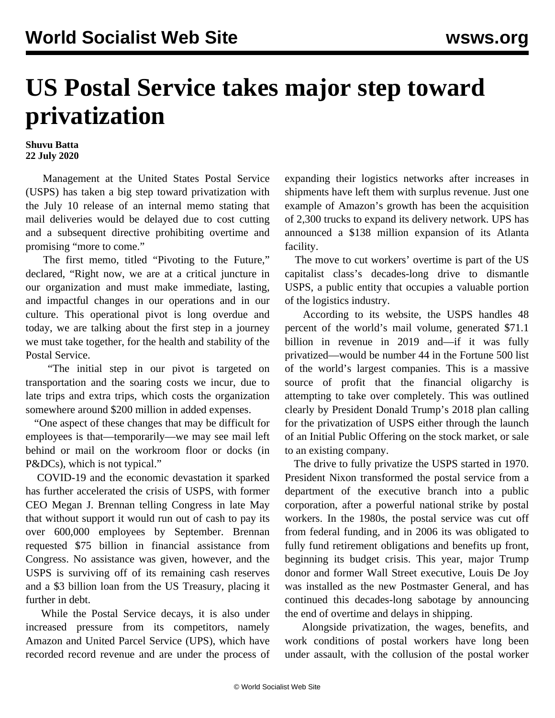## **US Postal Service takes major step toward privatization**

## **Shuvu Batta 22 July 2020**

 Management at the United States Postal Service (USPS) has taken a big step toward privatization with the July 10 release of an internal [memo](https://federalnewsnetwork.com/wp-content/uploads/2020/07/071020-stand-up-talk.pdf) stating that mail deliveries would be delayed due to cost cutting and a subsequent directive prohibiting overtime and promising "more to come."

 The first memo, titled "Pivoting to the Future," declared, "Right now, we are at a critical juncture in our organization and must make immediate, lasting, and impactful changes in our operations and in our culture. This operational pivot is long overdue and today, we are talking about the first step in a journey we must take together, for the health and stability of the Postal Service.

 "The initial step in our pivot is targeted on transportation and the soaring costs we incur, due to late trips and extra trips, which costs the organization somewhere around \$200 million in added expenses.

 "One aspect of these changes that may be difficult for employees is that—temporarily—we may see mail left behind or mail on the workroom floor or docks (in P&DCs), which is not typical."

 COVID-19 and the economic devastation it sparked has further accelerated the crisis of USPS, with former CEO Megan J. Brennan telling Congress in late May that without support it would run out of cash to pay its over 600,000 employees by September. Brennan requested \$75 billion in financial assistance from Congress. No assistance was given, however, and the USPS is surviving off of its remaining cash reserves and a \$3 billion loan from the US Treasury, placing it further in debt.

 While the Postal Service decays, it is also under increased pressure from its competitors, namely Amazon and United Parcel Service (UPS), which have recorded record revenue and are under the process of expanding their logistics networks after increases in shipments have left them with surplus revenue. Just one example of Amazon's growth has been the acquisition of 2,300 trucks to expand its delivery network. UPS has announced a \$138 million expansion of its Atlanta facility.

 The move to cut workers' overtime is part of the US capitalist class's decades-long drive to dismantle USPS, a public entity that occupies a valuable portion of the logistics industry.

 According to its website, the USPS handles 48 percent of the world's mail volume, generated \$71.1 billion in revenue in 2019 and—if it was fully privatized—would be number 44 in the Fortune 500 list of the world's largest companies. This is a massive source of profit that the financial oligarchy is attempting to take over completely. This was outlined clearly by President Donald Trump's [2018 plan](/en/articles/2018/06/26/priv-j26.html) calling for the privatization of USPS either through the launch of an Initial Public Offering on the stock market, or sale to an existing company.

 The drive to fully privatize the USPS started in 1970. President Nixon transformed the postal service from a department of the executive branch into a public corporation, after a powerful national strike by postal workers. In the 1980s, the postal service was cut off from federal funding, and in 2006 its was obligated to fully fund retirement obligations and benefits up front, beginning its budget crisis. This year, major Trump donor and former Wall Street executive, [Louis De Joy](/en/articles/2020/05/12/usps-m12.html) was installed as the new Postmaster General, and has continued this decades-long sabotage by announcing the end of overtime and delays in shipping.

 Alongside privatization, the wages, benefits, and work conditions of postal workers have long been under assault, with the collusion of the postal worker